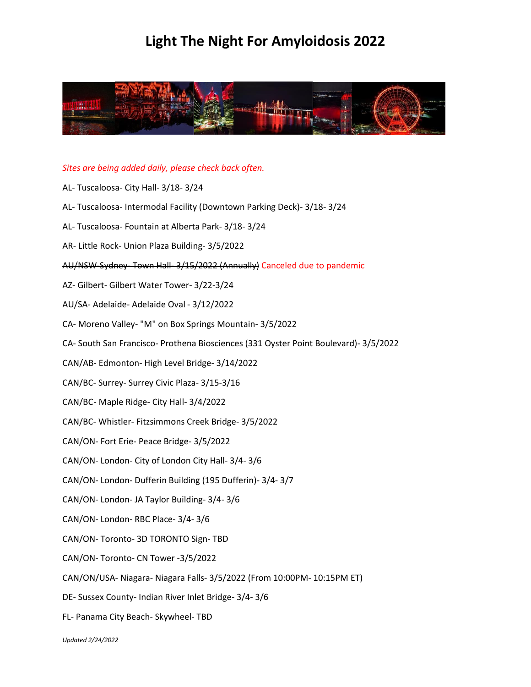

#### *Sites are being added daily, please check back often.*

- AL- Tuscaloosa- City Hall- 3/18- 3/24
- AL- Tuscaloosa- Intermodal Facility (Downtown Parking Deck)- 3/18- 3/24
- AL- Tuscaloosa- Fountain at Alberta Park- 3/18- 3/24
- AR- Little Rock- Union Plaza Building- 3/5/2022
- AU/NSW-Sydney- Town Hall- 3/15/2022 (Annually) Canceled due to pandemic
- AZ- Gilbert- Gilbert Water Tower- 3/22-3/24
- AU/SA- Adelaide- Adelaide Oval 3/12/2022
- CA- Moreno Valley- "M" on Box Springs Mountain- 3/5/2022
- CA- South San Francisco- Prothena Biosciences (331 Oyster Point Boulevard)- 3/5/2022
- CAN/AB- Edmonton- High Level Bridge- 3/14/2022
- CAN/BC- Surrey- Surrey Civic Plaza- 3/15-3/16
- CAN/BC- Maple Ridge- City Hall- 3/4/2022
- CAN/BC- Whistler- Fitzsimmons Creek Bridge- 3/5/2022
- CAN/ON- Fort Erie- Peace Bridge- 3/5/2022
- CAN/ON- London- City of London City Hall- 3/4- 3/6
- CAN/ON- London- Dufferin Building (195 Dufferin)- 3/4- 3/7
- CAN/ON- London- JA Taylor Building- 3/4- 3/6
- CAN/ON- London- RBC Place- 3/4- 3/6
- CAN/ON- Toronto- 3D TORONTO Sign- TBD
- CAN/ON- Toronto- CN Tower -3/5/2022
- CAN/ON/USA- Niagara- Niagara Falls- 3/5/2022 (From 10:00PM- 10:15PM ET)
- DE- Sussex County- Indian River Inlet Bridge- 3/4- 3/6
- FL- Panama City Beach- Skywheel- TBD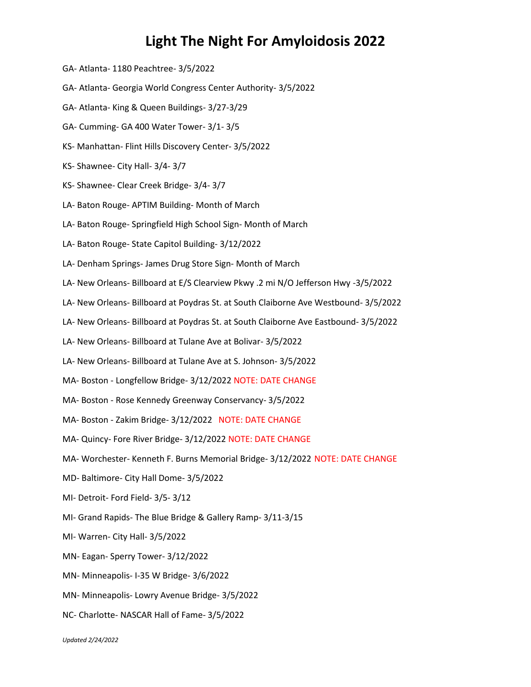- GA- Atlanta- 1180 Peachtree- 3/5/2022
- GA- Atlanta- Georgia World Congress Center Authority- 3/5/2022
- GA- Atlanta- King & Queen Buildings- 3/27-3/29
- GA- Cumming- GA 400 Water Tower- 3/1- 3/5
- KS- Manhattan- Flint Hills Discovery Center- 3/5/2022
- KS- Shawnee- City Hall- 3/4- 3/7
- KS- Shawnee- Clear Creek Bridge- 3/4- 3/7
- LA- Baton Rouge- APTIM Building- Month of March
- LA- Baton Rouge- Springfield High School Sign- Month of March
- LA- Baton Rouge- State Capitol Building- 3/12/2022
- LA- Denham Springs- James Drug Store Sign- Month of March
- LA- New Orleans- Billboard at E/S Clearview Pkwy .2 mi N/O Jefferson Hwy -3/5/2022
- LA- New Orleans- Billboard at Poydras St. at South Claiborne Ave Westbound- 3/5/2022
- LA- New Orleans- Billboard at Poydras St. at South Claiborne Ave Eastbound- 3/5/2022
- LA- New Orleans- Billboard at Tulane Ave at Bolivar- 3/5/2022
- LA- New Orleans- Billboard at Tulane Ave at S. Johnson- 3/5/2022
- MA- Boston Longfellow Bridge- 3/12/2022 NOTE: DATE CHANGE
- MA- Boston Rose Kennedy Greenway Conservancy- 3/5/2022
- MA- Boston Zakim Bridge- 3/12/2022 NOTE: DATE CHANGE
- MA- Quincy- Fore River Bridge- 3/12/2022 NOTE: DATE CHANGE
- MA- Worchester- Kenneth F. Burns Memorial Bridge- 3/12/2022 NOTE: DATE CHANGE
- MD- Baltimore- City Hall Dome- 3/5/2022
- MI- Detroit- Ford Field- 3/5- 3/12
- MI- Grand Rapids- The Blue Bridge & Gallery Ramp- 3/11-3/15
- MI- Warren- City Hall- 3/5/2022
- MN- Eagan- Sperry Tower- 3/12/2022
- MN- Minneapolis- I-35 W Bridge- 3/6/2022
- MN- Minneapolis- Lowry Avenue Bridge- 3/5/2022
- NC- Charlotte- NASCAR Hall of Fame- 3/5/2022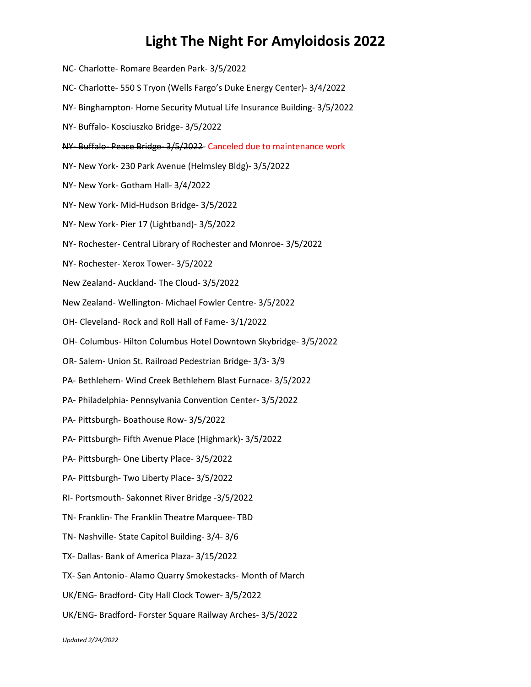NC- Charlotte- Romare Bearden Park- 3/5/2022 NC- Charlotte- 550 S Tryon (Wells Fargo's Duke Energy Center)- 3/4/2022 NY- Binghampton- Home Security Mutual Life Insurance Building- 3/5/2022 NY- Buffalo- Kosciuszko Bridge- 3/5/2022 NY- Buffalo- Peace Bridge- 3/5/2022- Canceled due to maintenance work NY- New York- 230 Park Avenue (Helmsley Bldg)- 3/5/2022 NY- New York- Gotham Hall- 3/4/2022 NY- New York- Mid-Hudson Bridge- 3/5/2022 NY- New York- Pier 17 (Lightband)- 3/5/2022 NY- Rochester- Central Library of Rochester and Monroe- 3/5/2022 NY- Rochester- Xerox Tower- 3/5/2022 New Zealand- Auckland- The Cloud- 3/5/2022 New Zealand- Wellington- Michael Fowler Centre- 3/5/2022 OH- Cleveland- Rock and Roll Hall of Fame- 3/1/2022 OH- Columbus- Hilton Columbus Hotel Downtown Skybridge- 3/5/2022 OR- Salem- Union St. Railroad Pedestrian Bridge- 3/3- 3/9 PA- Bethlehem- Wind Creek Bethlehem Blast Furnace- 3/5/2022 PA- Philadelphia- Pennsylvania Convention Center- 3/5/2022 PA- Pittsburgh- Boathouse Row- 3/5/2022 PA- Pittsburgh- Fifth Avenue Place (Highmark)- 3/5/2022 PA- Pittsburgh- One Liberty Place- 3/5/2022 PA- Pittsburgh- Two Liberty Place- 3/5/2022 RI- Portsmouth- Sakonnet River Bridge -3/5/2022 TN- Franklin- The Franklin Theatre Marquee- TBD TN- Nashville- State Capitol Building- 3/4- 3/6 TX- Dallas- Bank of America Plaza- 3/15/2022 TX- San Antonio- Alamo Quarry Smokestacks- Month of March UK/ENG- Bradford- City Hall Clock Tower- 3/5/2022 UK/ENG- Bradford- Forster Square Railway Arches- 3/5/2022